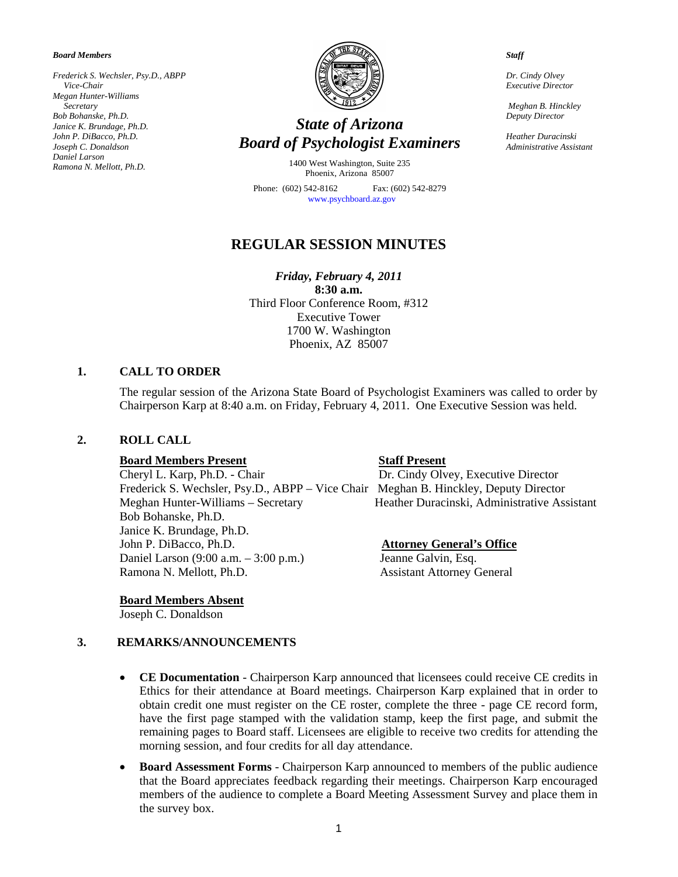*Board Members* 

*Frederick S. Wechsler, Psy.D., ABPP Vice-Chair Megan Hunter-Williams Secretary Bob Bohanske, Ph.D. Janice K. Brundage, Ph.D. John P. DiBacco, Ph.D. Joseph C. Donaldson Daniel Larson Ramona N. Mellott, Ph.D.* 



# *State of Arizona Board of Psychologist Examiners*

1400 West Washington, Suite 235 Phoenix, Arizona 85007

Phone: (602) 542-8162 Fax: (602) 542-8279 [www.psychboard.az.gov](http://www.psychboard.az.gov/) 

## **REGULAR SESSION MINUTES**

*Friday, February 4, 2011*  **8:30 a.m.**  Third Floor Conference Room, #312 Executive Tower 1700 W. Washington Phoenix, AZ 85007

## **1. CALL TO ORDER**

The regular session of the Arizona State Board of Psychologist Examiners was called to order by Chairperson Karp at 8:40 a.m. on Friday, February 4, 2011. One Executive Session was held.

#### **2. ROLL CALL**

#### **Board Members Present Staff Present**

Cheryl L. Karp, Ph.D. - Chair Dr. Cindy Olvey, Executive Director Frederick S. Wechsler, Psy.D., ABPP – Vice Chair Meghan B. Hinckley, Deputy Director Meghan Hunter-Williams – Secretary Heather Duracinski, Administrative Assistant Bob Bohanske, Ph.D. Janice K. Brundage, Ph.D. John P. DiBacco, Ph.D. **Attorney General's Office** Daniel Larson (9:00 a.m. – 3:00 p.m.) Jeanne Galvin, Esq. Ramona N. Mellott, Ph.D. Assistant Attorney General

**Board Members Absent**

Joseph C. Donaldson

## **3. REMARKS/ANNOUNCEMENTS**

- **CE Documentation** Chairperson Karp announced that licensees could receive CE credits in Ethics for their attendance at Board meetings. Chairperson Karp explained that in order to obtain credit one must register on the CE roster, complete the three - page CE record form, have the first page stamped with the validation stamp, keep the first page, and submit the remaining pages to Board staff. Licensees are eligible to receive two credits for attending the morning session, and four credits for all day attendance.
- **Board Assessment Forms** Chairperson Karp announced to members of the public audience that the Board appreciates feedback regarding their meetings. Chairperson Karp encouraged members of the audience to complete a Board Meeting Assessment Survey and place them in the survey box.

*Staff* 

*Dr. Cindy Olvey Executive Director* 

 *Meghan B. Hinckley Deputy Director* 

*Heather Duracinski Administrative Assistant*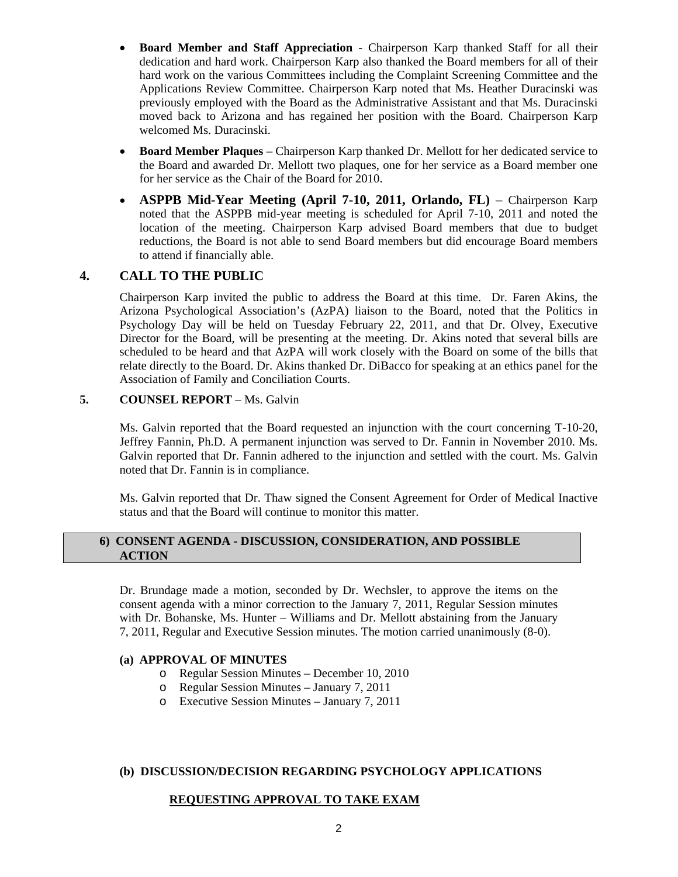- **Board Member and Staff Appreciation** Chairperson Karp thanked Staff for all their dedication and hard work. Chairperson Karp also thanked the Board members for all of their hard work on the various Committees including the Complaint Screening Committee and the Applications Review Committee. Chairperson Karp noted that Ms. Heather Duracinski was previously employed with the Board as the Administrative Assistant and that Ms. Duracinski moved back to Arizona and has regained her position with the Board. Chairperson Karp welcomed Ms. Duracinski.
- **Board Member Plaques** Chairperson Karp thanked Dr. Mellott for her dedicated service to the Board and awarded Dr. Mellott two plaques, one for her service as a Board member one for her service as the Chair of the Board for 2010.
- **ASPPB Mid-Year Meeting (April 7-10, 2011, Orlando, FL)**  Chairperson Karp noted that the ASPPB mid-year meeting is scheduled for April 7-10, 2011 and noted the location of the meeting. Chairperson Karp advised Board members that due to budget reductions, the Board is not able to send Board members but did encourage Board members to attend if financially able.

## **4. CALL TO THE PUBLIC**

Chairperson Karp invited the public to address the Board at this time. Dr. Faren Akins, the Arizona Psychological Association's (AzPA) liaison to the Board, noted that the Politics in Psychology Day will be held on Tuesday February 22, 2011, and that Dr. Olvey, Executive Director for the Board, will be presenting at the meeting. Dr. Akins noted that several bills are scheduled to be heard and that AzPA will work closely with the Board on some of the bills that relate directly to the Board. Dr. Akins thanked Dr. DiBacco for speaking at an ethics panel for the Association of Family and Conciliation Courts.

## **5. COUNSEL REPORT** – Ms. Galvin

Ms. Galvin reported that the Board requested an injunction with the court concerning T-10-20, Jeffrey Fannin, Ph.D. A permanent injunction was served to Dr. Fannin in November 2010. Ms. Galvin reported that Dr. Fannin adhered to the injunction and settled with the court. Ms. Galvin noted that Dr. Fannin is in compliance.

 Ms. Galvin reported that Dr. Thaw signed the Consent Agreement for Order of Medical Inactive status and that the Board will continue to monitor this matter.

## **6) CONSENT AGENDA - DISCUSSION, CONSIDERATION, AND POSSIBLE ACTION**

Dr. Brundage made a motion, seconded by Dr. Wechsler, to approve the items on the consent agenda with a minor correction to the January 7, 2011, Regular Session minutes with Dr. Bohanske, Ms. Hunter – Williams and Dr. Mellott abstaining from the January 7, 2011, Regular and Executive Session minutes. The motion carried unanimously (8-0).

## **(a) APPROVAL OF MINUTES**

- o Regular Session Minutes December 10, 2010
- o Regular Session Minutes January 7, 2011
- o Executive Session Minutes January 7, 2011

## **(b) DISCUSSION/DECISION REGARDING PSYCHOLOGY APPLICATIONS**

## **REQUESTING APPROVAL TO TAKE EXAM**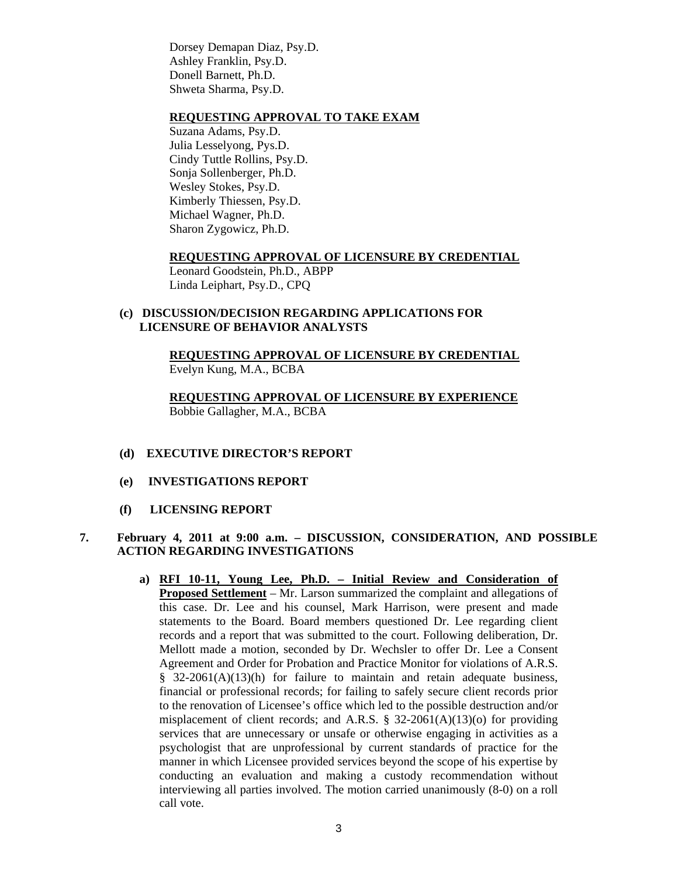Dorsey Demapan Diaz, Psy.D. Ashley Franklin, Psy.D. Donell Barnett, Ph.D. Shweta Sharma, Psy.D.

## **REQUESTING APPROVAL TO TAKE EXAM**

Suzana Adams, Psy.D. Julia Lesselyong, Pys.D. Cindy Tuttle Rollins, Psy.D. Sonja Sollenberger, Ph.D. Wesley Stokes, Psy.D. Kimberly Thiessen, Psy.D. Michael Wagner, Ph.D. Sharon Zygowicz, Ph.D.

#### **REQUESTING APPROVAL OF LICENSURE BY CREDENTIAL**

Leonard Goodstein, Ph.D., ABPP Linda Leiphart, Psy.D., CPQ

### **(c) DISCUSSION/DECISION REGARDING APPLICATIONS FOR LICENSURE OF BEHAVIOR ANALYSTS**

 **REQUESTING APPROVAL OF LICENSURE BY CREDENTIAL**  Evelyn Kung, M.A., BCBA

**REQUESTING APPROVAL OF LICENSURE BY EXPERIENCE** Bobbie Gallagher, M.A., BCBA

#### **(d) EXECUTIVE DIRECTOR'S REPORT**

- **(e) INVESTIGATIONS REPORT**
- **(f) LICENSING REPORT**

## **7. February 4, 2011 at 9:00 a.m. – DISCUSSION, CONSIDERATION, AND POSSIBLE ACTION REGARDING INVESTIGATIONS**

**a) RFI 10-11, Young Lee, Ph.D. – Initial Review and Consideration of Proposed Settlement** – Mr. Larson summarized the complaint and allegations of this case. Dr. Lee and his counsel, Mark Harrison, were present and made statements to the Board. Board members questioned Dr. Lee regarding client records and a report that was submitted to the court. Following deliberation, Dr. Mellott made a motion, seconded by Dr. Wechsler to offer Dr. Lee a Consent Agreement and Order for Probation and Practice Monitor for violations of A.R.S. § 32-2061(A)(13)(h) for failure to maintain and retain adequate business, financial or professional records; for failing to safely secure client records prior to the renovation of Licensee's office which led to the possible destruction and/or misplacement of client records; and A.R.S.  $\S$  32-2061(A)(13)(o) for providing services that are unnecessary or unsafe or otherwise engaging in activities as a psychologist that are unprofessional by current standards of practice for the manner in which Licensee provided services beyond the scope of his expertise by conducting an evaluation and making a custody recommendation without interviewing all parties involved. The motion carried unanimously (8-0) on a roll call vote.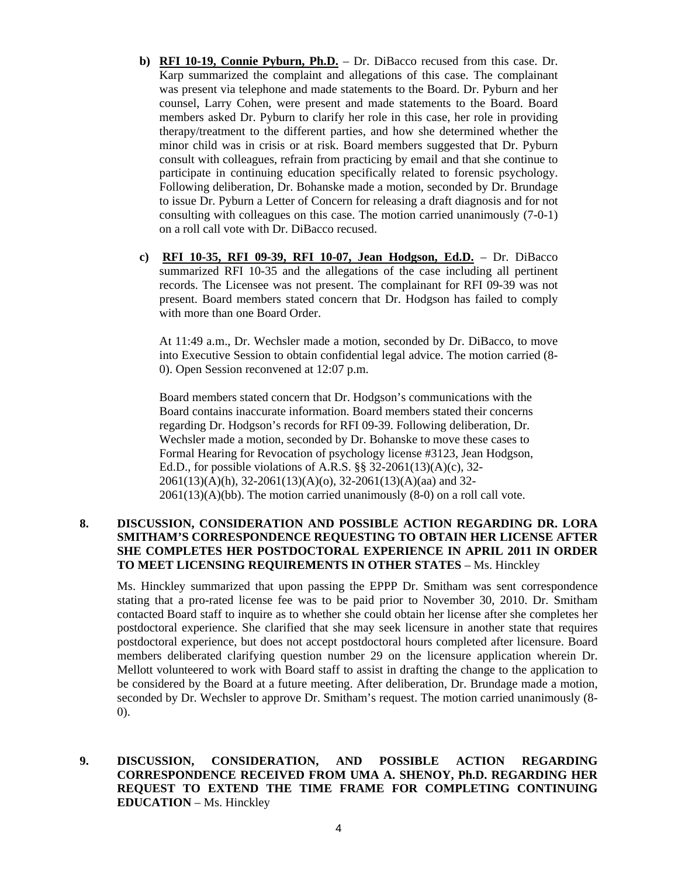- **b) RFI 10-19, Connie Pyburn, Ph.D.** Dr. DiBacco recused from this case. Dr. Karp summarized the complaint and allegations of this case. The complainant was present via telephone and made statements to the Board. Dr. Pyburn and her counsel, Larry Cohen, were present and made statements to the Board. Board members asked Dr. Pyburn to clarify her role in this case, her role in providing therapy/treatment to the different parties, and how she determined whether the minor child was in crisis or at risk. Board members suggested that Dr. Pyburn consult with colleagues, refrain from practicing by email and that she continue to participate in continuing education specifically related to forensic psychology. Following deliberation, Dr. Bohanske made a motion, seconded by Dr. Brundage to issue Dr. Pyburn a Letter of Concern for releasing a draft diagnosis and for not consulting with colleagues on this case. The motion carried unanimously (7-0-1) on a roll call vote with Dr. DiBacco recused.
- **c) RFI 10-35, RFI 09-39, RFI 10-07, Jean Hodgson, Ed.D.** Dr. DiBacco summarized RFI 10-35 and the allegations of the case including all pertinent records. The Licensee was not present. The complainant for RFI 09-39 was not present. Board members stated concern that Dr. Hodgson has failed to comply with more than one Board Order.

At 11:49 a.m., Dr. Wechsler made a motion, seconded by Dr. DiBacco, to move into Executive Session to obtain confidential legal advice. The motion carried (8- 0). Open Session reconvened at 12:07 p.m.

Board members stated concern that Dr. Hodgson's communications with the Board contains inaccurate information. Board members stated their concerns regarding Dr. Hodgson's records for RFI 09-39. Following deliberation, Dr. Wechsler made a motion, seconded by Dr. Bohanske to move these cases to Formal Hearing for Revocation of psychology license #3123, Jean Hodgson, Ed.D., for possible violations of A.R.S. §§ 32-2061(13)(A)(c), 32- 2061(13)(A)(h), 32-2061(13)(A)(o), 32-2061(13)(A)(aa) and 32-  $2061(13)(A)(bb)$ . The motion carried unanimously  $(8-0)$  on a roll call vote.

### **8. DISCUSSION, CONSIDERATION AND POSSIBLE ACTION REGARDING DR. LORA SMITHAM'S CORRESPONDENCE REQUESTING TO OBTAIN HER LICENSE AFTER SHE COMPLETES HER POSTDOCTORAL EXPERIENCE IN APRIL 2011 IN ORDER TO MEET LICENSING REQUIREMENTS IN OTHER STATES** – Ms. Hinckley

Ms. Hinckley summarized that upon passing the EPPP Dr. Smitham was sent correspondence stating that a pro-rated license fee was to be paid prior to November 30, 2010. Dr. Smitham contacted Board staff to inquire as to whether she could obtain her license after she completes her postdoctoral experience. She clarified that she may seek licensure in another state that requires postdoctoral experience, but does not accept postdoctoral hours completed after licensure. Board members deliberated clarifying question number 29 on the licensure application wherein Dr. Mellott volunteered to work with Board staff to assist in drafting the change to the application to be considered by the Board at a future meeting. After deliberation, Dr. Brundage made a motion, seconded by Dr. Wechsler to approve Dr. Smitham's request. The motion carried unanimously (8- 0).

## **9. DISCUSSION, CONSIDERATION, AND POSSIBLE ACTION REGARDING CORRESPONDENCE RECEIVED FROM UMA A. SHENOY, Ph.D. REGARDING HER REQUEST TO EXTEND THE TIME FRAME FOR COMPLETING CONTINUING EDUCATION** – Ms. Hinckley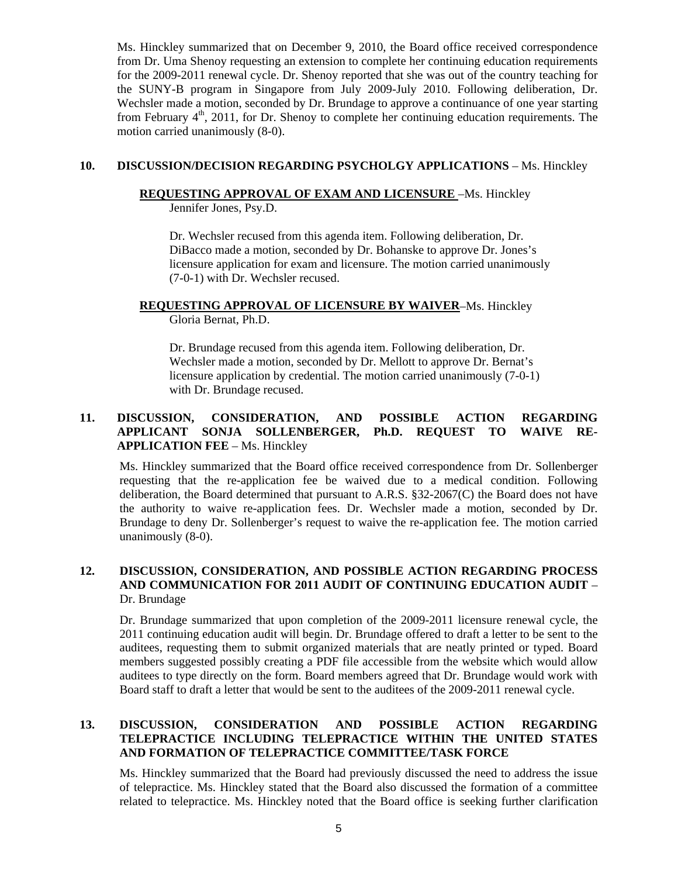Ms. Hinckley summarized that on December 9, 2010, the Board office received correspondence from Dr. Uma Shenoy requesting an extension to complete her continuing education requirements for the 2009-2011 renewal cycle. Dr. Shenoy reported that she was out of the country teaching for the SUNY-B program in Singapore from July 2009-July 2010. Following deliberation, Dr. Wechsler made a motion, seconded by Dr. Brundage to approve a continuance of one year starting from February  $4<sup>th</sup>$ , 2011, for Dr. Shenoy to complete her continuing education requirements. The motion carried unanimously (8-0).

## **10. DISCUSSION/DECISION REGARDING PSYCHOLGY APPLICATIONS - Ms. Hinckley**

## **REQUESTING APPROVAL OF EXAM AND LICENSURE** –Ms. Hinckley

Jennifer Jones, Psy.D.

Dr. Wechsler recused from this agenda item. Following deliberation, Dr. DiBacco made a motion, seconded by Dr. Bohanske to approve Dr. Jones's licensure application for exam and licensure. The motion carried unanimously (7-0-1) with Dr. Wechsler recused.

# **REQUESTING APPROVAL OF LICENSURE BY WAIVER**–Ms. Hinckley

Gloria Bernat, Ph.D.

Dr. Brundage recused from this agenda item. Following deliberation, Dr. Wechsler made a motion, seconded by Dr. Mellott to approve Dr. Bernat's licensure application by credential. The motion carried unanimously (7-0-1) with Dr. Brundage recused.

## **11. DISCUSSION, CONSIDERATION, AND POSSIBLE ACTION REGARDING APPLICANT SONJA SOLLENBERGER, Ph.D. REQUEST TO WAIVE RE-APPLICATION FEE** – Ms. Hinckley

Ms. Hinckley summarized that the Board office received correspondence from Dr. Sollenberger requesting that the re-application fee be waived due to a medical condition. Following deliberation, the Board determined that pursuant to A.R.S. §32-2067(C) the Board does not have the authority to waive re-application fees. Dr. Wechsler made a motion, seconded by Dr. Brundage to deny Dr. Sollenberger's request to waive the re-application fee. The motion carried unanimously (8-0).

## **12. DISCUSSION, CONSIDERATION, AND POSSIBLE ACTION REGARDING PROCESS AND COMMUNICATION FOR 2011 AUDIT OF CONTINUING EDUCATION AUDIT** – Dr. Brundage

Dr. Brundage summarized that upon completion of the 2009-2011 licensure renewal cycle, the 2011 continuing education audit will begin. Dr. Brundage offered to draft a letter to be sent to the auditees, requesting them to submit organized materials that are neatly printed or typed. Board members suggested possibly creating a PDF file accessible from the website which would allow auditees to type directly on the form. Board members agreed that Dr. Brundage would work with Board staff to draft a letter that would be sent to the auditees of the 2009-2011 renewal cycle.

## **13. DISCUSSION, CONSIDERATION AND POSSIBLE ACTION REGARDING TELEPRACTICE INCLUDING TELEPRACTICE WITHIN THE UNITED STATES AND FORMATION OF TELEPRACTICE COMMITTEE/TASK FORCE**

Ms. Hinckley summarized that the Board had previously discussed the need to address the issue of telepractice. Ms. Hinckley stated that the Board also discussed the formation of a committee related to telepractice. Ms. Hinckley noted that the Board office is seeking further clarification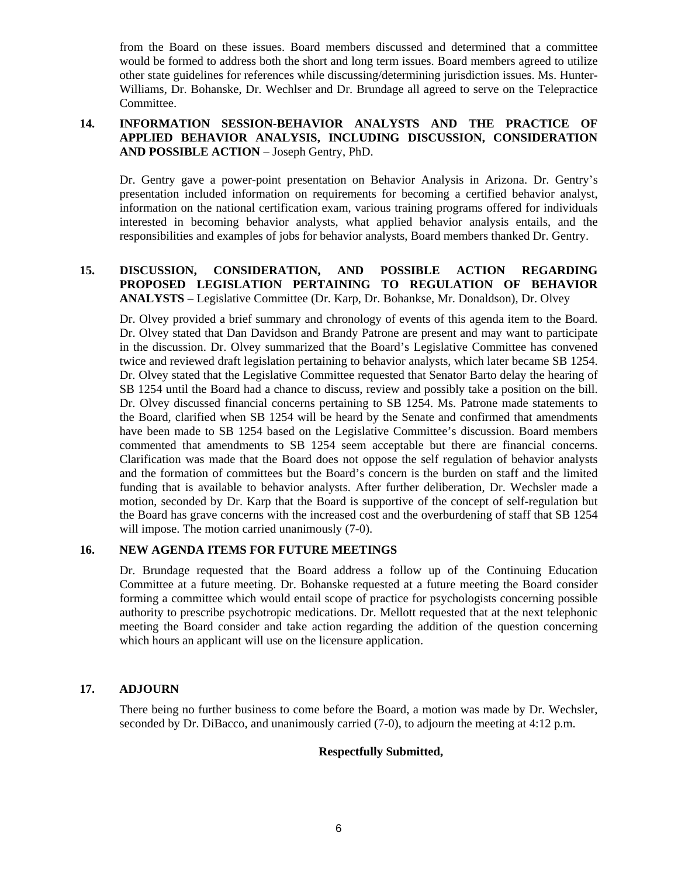from the Board on these issues. Board members discussed and determined that a committee would be formed to address both the short and long term issues. Board members agreed to utilize other state guidelines for references while discussing/determining jurisdiction issues. Ms. Hunter-Williams, Dr. Bohanske, Dr. Wechlser and Dr. Brundage all agreed to serve on the Telepractice Committee.

## **14. INFORMATION SESSION-BEHAVIOR ANALYSTS AND THE PRACTICE OF APPLIED BEHAVIOR ANALYSIS, INCLUDING DISCUSSION, CONSIDERATION AND POSSIBLE ACTION** – Joseph Gentry, PhD.

Dr. Gentry gave a power-point presentation on Behavior Analysis in Arizona. Dr. Gentry's presentation included information on requirements for becoming a certified behavior analyst, information on the national certification exam, various training programs offered for individuals interested in becoming behavior analysts, what applied behavior analysis entails, and the responsibilities and examples of jobs for behavior analysts, Board members thanked Dr. Gentry.

## **15. DISCUSSION, CONSIDERATION, AND POSSIBLE ACTION REGARDING PROPOSED LEGISLATION PERTAINING TO REGULATION OF BEHAVIOR ANALYSTS** – Legislative Committee (Dr. Karp, Dr. Bohankse, Mr. Donaldson), Dr. Olvey

Dr. Olvey provided a brief summary and chronology of events of this agenda item to the Board. Dr. Olvey stated that Dan Davidson and Brandy Patrone are present and may want to participate in the discussion. Dr. Olvey summarized that the Board's Legislative Committee has convened twice and reviewed draft legislation pertaining to behavior analysts, which later became SB 1254. Dr. Olvey stated that the Legislative Committee requested that Senator Barto delay the hearing of SB 1254 until the Board had a chance to discuss, review and possibly take a position on the bill. Dr. Olvey discussed financial concerns pertaining to SB 1254. Ms. Patrone made statements to the Board, clarified when SB 1254 will be heard by the Senate and confirmed that amendments have been made to SB 1254 based on the Legislative Committee's discussion. Board members commented that amendments to SB 1254 seem acceptable but there are financial concerns. Clarification was made that the Board does not oppose the self regulation of behavior analysts and the formation of committees but the Board's concern is the burden on staff and the limited funding that is available to behavior analysts. After further deliberation, Dr. Wechsler made a motion, seconded by Dr. Karp that the Board is supportive of the concept of self-regulation but the Board has grave concerns with the increased cost and the overburdening of staff that SB 1254 will impose. The motion carried unanimously  $(7-0)$ .

## **16. NEW AGENDA ITEMS FOR FUTURE MEETINGS**

Dr. Brundage requested that the Board address a follow up of the Continuing Education Committee at a future meeting. Dr. Bohanske requested at a future meeting the Board consider forming a committee which would entail scope of practice for psychologists concerning possible authority to prescribe psychotropic medications. Dr. Mellott requested that at the next telephonic meeting the Board consider and take action regarding the addition of the question concerning which hours an applicant will use on the licensure application.

## **17. ADJOURN**

There being no further business to come before the Board, a motion was made by Dr. Wechsler, seconded by Dr. DiBacco, and unanimously carried (7-0), to adjourn the meeting at 4:12 p.m.

## **Respectfully Submitted,**